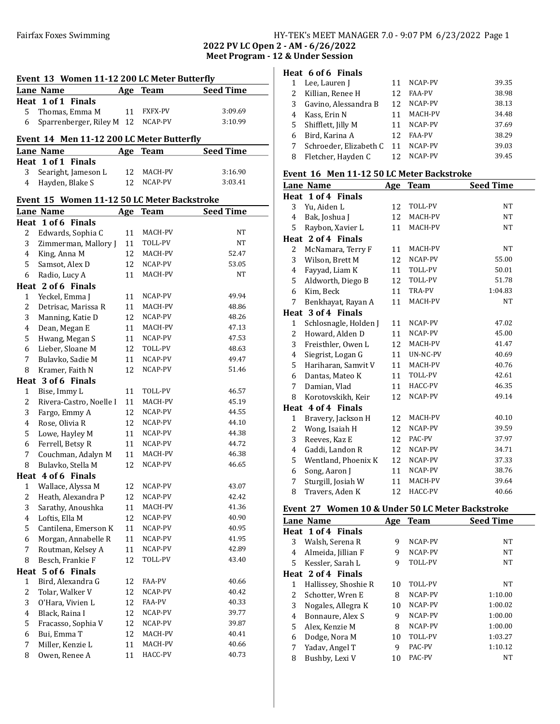# Fairfax Foxes Swimming Table 1 and HY-TEK's MEET MANAGER 7.0 - 9:07 PM 6/23/2022 Page 1

2022 PV LC Open 2 - AM - 6/26/2022 Meet Program - 12 & Under Session

### Event 13 Women 11-12 200 LC Meter Butterfly

| LYCHU 19 WOHICH 11-12 200 LC MCCH DUUCHIY |     |                |                  |
|-------------------------------------------|-----|----------------|------------------|
| Lane Name                                 |     | Age Team       | <b>Seed Time</b> |
| Heat 1 of 1 Finals                        |     |                |                  |
| 5 Thomas, Emma M                          | -11 | <b>FXFX-PV</b> | 3:09.69          |
| 6 Sparrenberger, Riley M 12 NCAP-PV       |     |                | 3:10.99          |

#### Event 14 Men 11-12 200 LC Meter Butterfly

| Lane Name             |    | Age Team   | <b>Seed Time</b> |
|-----------------------|----|------------|------------------|
| Heat 1 of 1 Finals    |    |            |                  |
| 3 Searight, Jameson L | 12 | MACH-PV    | 3:16.90          |
| 4 Hayden, Blake S     |    | 12 NCAP-PV | 3:03.41          |

#### Event 15 Women 11-12 50 LC Meter Backstroke

|                         | <b>Lane Name</b>        | <u>Age</u> | <b>Team</b> | <b>Seed Time</b> |
|-------------------------|-------------------------|------------|-------------|------------------|
|                         | Heat 1 of 6 Finals      |            |             |                  |
| $\overline{c}$          | Edwards, Sophia C       | 11         | MACH-PV     | NT               |
| 3                       | Zimmerman, Mallory J    | 11         | TOLL-PV     | NT               |
| 4                       | King, Anna M            | 12         | MACH-PV     | 52.47            |
| 5                       | Samsot, Alex D          | 12         | NCAP-PV     | 53.05            |
| 6                       | Radio, Lucy A           | 11         | MACH-PV     | <b>NT</b>        |
|                         | Heat 2 of 6 Finals      |            |             |                  |
| $\mathbf{1}$            | Yeckel, Emma J          | 11         | NCAP-PV     | 49.94            |
| $\overline{c}$          | Detrisac, Marissa R     | 11         | MACH-PV     | 48.86            |
| 3                       | Manning, Katie D        | 12         | NCAP-PV     | 48.26            |
| $\overline{\mathbf{4}}$ | Dean, Megan E           | 11         | MACH-PV     | 47.13            |
| 5                       | Hwang, Megan S          | 11         | NCAP-PV     | 47.53            |
| 6                       | Lieber, Sloane M        | 12         | TOLL-PV     | 48.63            |
| 7                       | Bulavko, Sadie M        | 11         | NCAP-PV     | 49.47            |
| 8                       | Kramer, Faith N         | 12         | NCAP-PV     | 51.46            |
|                         | Heat 3 of 6 Finals      |            |             |                  |
| $\mathbf{1}$            | Bise, Immy L            | 11         | TOLL-PV     | 46.57            |
| $\overline{c}$          | Rivera-Castro, Noelle I | 11         | MACH-PV     | 45.19            |
| 3                       | Fargo, Emmy A           | 12         | NCAP-PV     | 44.55            |
| $\overline{\mathbf{4}}$ | Rose, Olivia R          | 12         | NCAP-PV     | 44.10            |
| 5                       | Lowe, Hayley M          | 11         | NCAP-PV     | 44.38            |
| 6                       | Ferrell, Betsy R        | 11         | NCAP-PV     | 44.72            |
| $\overline{7}$          | Couchman, Adalyn M      | 11         | MACH-PV     | 46.38            |
| 8                       | Bulavko, Stella M       | 12         | NCAP-PV     | 46.65            |
|                         | Heat 4 of 6 Finals      |            |             |                  |
| 1                       | Wallace, Alyssa M       | 12         | NCAP-PV     | 43.07            |
| $\overline{c}$          | Heath, Alexandra P      | 12         | NCAP-PV     | 42.42            |
| 3                       | Sarathy, Anoushka       | 11         | MACH-PV     | 41.36            |
| 4                       | Loftis, Ella M          | 12         | NCAP-PV     | 40.90            |
| 5                       | Cantilena, Emerson K    | 11         | NCAP-PV     | 40.95            |
| 6                       | Morgan, Annabelle R     | 11         | NCAP-PV     | 41.95            |
| 7                       | Routman, Kelsey A       | 11         | NCAP-PV     | 42.89            |
| 8                       | Besch, Frankie F        | 12         | TOLL-PV     | 43.40            |
| Heat                    | 5 of 6 Finals           |            |             |                  |
| 1                       | Bird, Alexandra G       | 12         | FAA-PV      | 40.66            |
| $\overline{c}$          | Tolar, Walker V         | 12         | NCAP-PV     | 40.42            |
| 3                       | O'Hara, Vivien L        | 12         | FAA-PV      | 40.33            |
| 4                       | Black, Raina I          | 12         | NCAP-PV     | 39.77            |
| 5                       | Fracasso, Sophia V      | 12         | NCAP-PV     | 39.87            |
| 6                       | Bui, Emma T             | 12         | MACH-PV     | 40.41            |
| 7                       | Miller, Kenzie L        | 11         | MACH-PV     | 40.66            |
| 8                       | Owen, Renee A           | 11         | HACC-PV     | 40.73            |

# Heat 6 of 6 Finals

|   | Lee, Lauren J          | 11 | NCAP-PV       | 39.35 |
|---|------------------------|----|---------------|-------|
|   | Killian, Renee H       | 12 | <b>FAA-PV</b> | 38.98 |
| 3 | Gavino, Alessandra B   | 12 | NCAP-PV       | 38.13 |
| 4 | Kass, Erin N           |    | MACH-PV       | 34.48 |
| 5 | Shifflett, Jilly M     | 11 | NCAP-PV       | 37.69 |
| 6 | Bird, Karina A         | 12 | <b>FAA-PV</b> | 38.29 |
|   | Schroeder, Elizabeth C | 11 | NCAP-PV       | 39.03 |
| 8 | Fletcher, Hayden C     | 12 | NCAP-PV       | 39.45 |
|   |                        |    |               |       |

#### Event 16 Men 11-12 50 LC Meter Backstroke

|              | Lane Name             | Age | <b>Team</b> | <b>Seed Time</b> |
|--------------|-----------------------|-----|-------------|------------------|
| Heat         | 1 of 4 Finals         |     |             |                  |
| 3            | Yu, Aiden L           | 12  | TOLL-PV     | NT               |
| 4            | Bak, Joshua J         | 12  | MACH-PV     | NT               |
| 5            | Raybon, Xavier L      | 11  | MACH-PV     | NT               |
|              | Heat 2 of 4 Finals    |     |             |                  |
| 2            | McNamara, Terry F     | 11  | MACH-PV     | NT               |
| 3            | Wilson, Brett M       | 12  | NCAP-PV     | 55.00            |
| 4            | Fayyad, Liam K        | 11  | TOLL-PV     | 50.01            |
| 5            | Aldworth, Diego B     | 12  | TOLL-PV     | 51.78            |
| 6            | Kim, Beck             | 11  | TRA-PV      | 1:04.83          |
| 7            | Benkhayat, Rayan A    | 11  | MACH-PV     | <b>NT</b>        |
|              | Heat 3 of 4 Finals    |     |             |                  |
| $\mathbf{1}$ | Schlosnagle, Holden J | 11  | NCAP-PV     | 47.02            |
| 2            | Howard, Alden D       | 11  | NCAP-PV     | 45.00            |
| 3            | Freisthler, Owen L    | 12  | MACH-PV     | 41.47            |
| 4            | Siegrist, Logan G     | 11  | UN-NC-PV    | 40.69            |
| 5            | Hariharan, Samvit V   | 11  | MACH-PV     | 40.76            |
| 6            | Dantas, Mateo K       | 11  | TOLL-PV     | 42.61            |
| 7            | Damian, Vlad          | 11  | HACC-PV     | 46.35            |
| 8            | Korotovskikh, Keir    | 12  | NCAP-PV     | 49.14            |
|              | Heat 4 of 4 Finals    |     |             |                  |
| 1            | Bravery, Jackson H    | 12  | MACH-PV     | 40.10            |
| 2            | Wong, Isaiah H        | 12  | NCAP-PV     | 39.59            |
| 3            | Reeves, Kaz E         | 12  | PAC-PV      | 37.97            |
| 4            | Gaddi, Landon R       | 12  | NCAP-PV     | 34.71            |
| 5            | Wentland, Phoenix K   | 12  | NCAP-PV     | 37.33            |
| 6            | Song, Aaron J         | 11  | NCAP-PV     | 38.76            |
| 7            | Sturgill, Josiah W    | 11  | MACH-PV     | 39.64            |
| 8            | Travers, Aden K       | 12  | HACC-PV     | 40.66            |

# Event 27 Women 10 & Under 50 LC Meter Backstroke

|   | Lane Name            | Age | <b>Team</b>    | <b>Seed Time</b> |
|---|----------------------|-----|----------------|------------------|
|   | Heat 1 of 4 Finals   |     |                |                  |
| 3 | Walsh, Serena R      | 9   | NCAP-PV        | <b>NT</b>        |
| 4 | Almeida, Jillian F   | 9   | NCAP-PV        | <b>NT</b>        |
| 5 | Kessler, Sarah L     | 9   | <b>TOLL-PV</b> | <b>NT</b>        |
|   | Heat 2 of 4 Finals   |     |                |                  |
| 1 | Hallissey, Shoshie R | 10  | TOLL-PV        | NT               |
| 2 | Schotter, Wren E     | 8   | NCAP-PV        | 1:10.00          |
| 3 | Nogales, Allegra K   | 10  | NCAP-PV        | 1:00.02          |
| 4 | Bonnaure, Alex S     | 9   | NCAP-PV        | 1:00.00          |
| 5 | Alex, Kenzie M       | 8   | NCAP-PV        | 1:00.00          |
| 6 | Dodge, Nora M        | 10  | <b>TOLL-PV</b> | 1:03.27          |
| 7 | Yadav, Angel T       | 9   | PAC-PV         | 1:10.12          |
| 8 | Bushby, Lexi V       | 10  | PAC-PV         | <b>NT</b>        |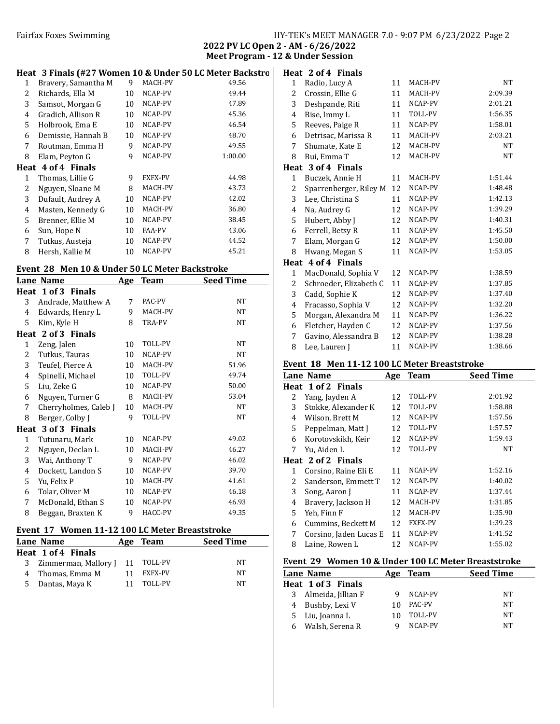# Fairfax Foxes Swimming Table 1986 and HY-TEK's MEET MANAGER 7.0 - 9:07 PM 6/23/2022 Page 2

2022 PV LC Open 2 - AM - 6/26/2022 Meet Program - 12 & Under Session

Heat 2 of 4 Finals

# Heat 3 Finals (#27 Women 10 & Under 50 LC Meter Backstro

| Bravery, Samantha M | 9  | MACH-PV        | 49.56   |
|---------------------|----|----------------|---------|
| Richards, Ella M    | 10 | NCAP-PV        | 49.44   |
| Samsot, Morgan G    | 10 | NCAP-PV        | 47.89   |
| Gradich, Allison R  | 10 | NCAP-PV        | 45.36   |
| Holbrook, Ema E     | 10 | NCAP-PV        | 46.54   |
| Demissie, Hannah B  | 10 | NCAP-PV        | 48.70   |
| Routman, Emma H     | 9  | NCAP-PV        | 49.55   |
| Elam, Peyton G      | 9  | NCAP-PV        | 1:00.00 |
| Heat 4 of 4 Finals  |    |                |         |
| Thomas, Lillie G    | 9  | <b>FXFX-PV</b> | 44.98   |
| Nguyen, Sloane M    | 8  | MACH-PV        | 43.73   |
| Dufault, Audrey A   | 10 | NCAP-PV        | 42.02   |
| Masten, Kennedy G   | 10 | MACH-PV        | 36.80   |
| Brenner, Ellie M    | 10 | NCAP-PV        | 38.45   |
| Sun, Hope N         | 10 | <b>FAA-PV</b>  | 43.06   |
| Tutkus, Austeja     | 10 | NCAP-PV        | 44.52   |
| Hersh, Kallie M     | 10 | NCAP-PV        | 45.21   |
|                     |    |                |         |

### Event 28 Men 10 & Under 50 LC Meter Backstroke

| Livent 40 Then to & onucl 50 BG Meter Backstroke |                       |            |             |                  |  |
|--------------------------------------------------|-----------------------|------------|-------------|------------------|--|
|                                                  | Lane Name             | <b>Age</b> | <b>Team</b> | <b>Seed Time</b> |  |
|                                                  | Heat 1 of 3 Finals    |            |             |                  |  |
| 3                                                | Andrade, Matthew A    | 7          | PAC-PV      | NT               |  |
| 4                                                | Edwards, Henry L      | 9          | MACH-PV     | NT               |  |
| 5                                                | Kim, Kyle H           | 8          | TRA-PV      | NT               |  |
|                                                  | Heat 2 of 3 Finals    |            |             |                  |  |
| 1                                                | Zeng, Jalen           | 10         | TOLL-PV     | NT               |  |
| 2                                                | Tutkus, Tauras        | 10         | NCAP-PV     | NT               |  |
| 3                                                | Teufel, Pierce A      | 10         | MACH-PV     | 51.96            |  |
| 4                                                | Spinelli, Michael     | 10         | TOLL-PV     | 49.74            |  |
| 5                                                | Liu, Zeke G           | 10         | NCAP-PV     | 50.00            |  |
| 6                                                | Nguyen, Turner G      | 8          | MACH-PV     | 53.04            |  |
| 7                                                | Cherryholmes, Caleb J | 10         | MACH-PV     | NT               |  |
| 8                                                | Berger, Colby J       | 9          | TOLL-PV     | NT               |  |
|                                                  | Heat 3 of 3 Finals    |            |             |                  |  |
| 1                                                | Tutunaru, Mark        | 10         | NCAP-PV     | 49.02            |  |
| 2                                                | Nguyen, Declan L      | 10         | MACH-PV     | 46.27            |  |
| 3                                                | Wai, Anthony T        | 9          | NCAP-PV     | 46.02            |  |
| 4                                                | Dockett, Landon S     | 10         | NCAP-PV     | 39.70            |  |
| 5                                                | Yu, Felix P           | 10         | MACH-PV     | 41.61            |  |
| 6                                                | Tolar, Oliver M       | 10         | NCAP-PV     | 46.18            |  |
| 7                                                | McDonald, Ethan S     | 10         | NCAP-PV     | 46.93            |  |
| 8                                                | Beggan, Braxten K     | 9          | HACC-PV     | 49.35            |  |
|                                                  |                       |            |             |                  |  |

# Event 17 Women 11-12 100 LC Meter Breaststroke

| Lane Name                         |    | Age Team | <b>Seed Time</b> |
|-----------------------------------|----|----------|------------------|
| Heat 1 of 4 Finals                |    |          |                  |
| 3 Zimmerman, Mallory J 11 TOLL-PV |    |          | NT               |
| 4 Thomas, Emma M                  |    | FXFX-PV  | NT               |
| 5 Dantas, Maya K                  | 11 | TOLL-PV  | NΤ               |

| 1    | Radio, Lucy A          | 11 | MACH-PV | <b>NT</b> |
|------|------------------------|----|---------|-----------|
| 2    | Crossin, Ellie G       | 11 | MACH-PV | 2:09.39   |
| 3    | Deshpande, Riti        | 11 | NCAP-PV | 2:01.21   |
| 4    | Bise, Immy L           | 11 | TOLL-PV | 1:56.35   |
| 5    | Reeves, Paige R        | 11 | NCAP-PV | 1:58.01   |
| 6    | Detrisac, Marissa R    | 11 | MACH-PV | 2:03.21   |
| 7    | Shumate, Kate E        | 12 | MACH-PV | <b>NT</b> |
| 8    | Bui, Emma T            | 12 | MACH-PV | <b>NT</b> |
| Heat | 3 of 4 Finals          |    |         |           |
| 1    | Buczek, Annie H        | 11 | MACH-PV | 1:51.44   |
| 2    | Sparrenberger, Riley M | 12 | NCAP-PV | 1:48.48   |
| 3    | Lee, Christina S       | 11 | NCAP-PV | 1:42.13   |
| 4    | Na, Audrey G           | 12 | NCAP-PV | 1:39.29   |
| 5    | Hubert, Abby J         | 12 | NCAP-PV | 1:40.31   |
| 6    | Ferrell, Betsy R       | 11 | NCAP-PV | 1:45.50   |
| 7    | Elam, Morgan G         | 12 | NCAP-PV | 1:50.00   |
| 8    | Hwang, Megan S         | 11 | NCAP-PV | 1:53.05   |
|      | Heat 4 of 4 Finals     |    |         |           |
| 1    | MacDonald, Sophia V    | 12 | NCAP-PV | 1:38.59   |
| 2    | Schroeder, Elizabeth C | 11 | NCAP-PV | 1:37.85   |
| 3    | Cadd, Sophie K         | 12 | NCAP-PV | 1:37.40   |
| 4    | Fracasso, Sophia V     | 12 | NCAP-PV | 1:32.20   |
| 5    | Morgan, Alexandra M    | 11 | NCAP-PV | 1:36.22   |
| 6    | Fletcher, Hayden C     | 12 | NCAP-PV | 1:37.56   |
| 7    | Gavino, Alessandra B   | 12 | NCAP-PV | 1:38.28   |
| 8    | Lee, Lauren J          | 11 | NCAP-PV | 1:38.66   |

#### Event 18 Men 11-12 100 LC Meter Breaststroke

|   | Lane Name              | Age | <b>Team</b>    | <b>Seed Time</b> |
|---|------------------------|-----|----------------|------------------|
|   | Heat 1 of 2 Finals     |     |                |                  |
| 2 | Yang, Jayden A         | 12  | TOLL-PV        | 2:01.92          |
| 3 | Stokke, Alexander K    | 12  | TOLL-PV        | 1:58.88          |
| 4 | Wilson, Brett M        | 12  | NCAP-PV        | 1:57.56          |
| 5 | Peppelman, Matt J      | 12  | TOLL-PV        | 1:57.57          |
| 6 | Korotovskikh, Keir     | 12  | NCAP-PV        | 1:59.43          |
| 7 | Yu, Aiden L            | 12  | TOLL-PV        | NT               |
|   | Heat 2 of 2 Finals     |     |                |                  |
| 1 | Corsino, Raine Eli E   | 11  | NCAP-PV        | 1:52.16          |
| 2 | Sanderson, Emmett T    | 12  | NCAP-PV        | 1:40.02          |
| 3 | Song, Aaron J          | 11  | NCAP-PV        | 1:37.44          |
| 4 | Bravery, Jackson H     | 12  | MACH-PV        | 1:31.85          |
| 5 | Yeh, Finn F            | 12  | MACH-PV        | 1:35.90          |
| 6 | Cummins, Beckett M     | 12  | <b>FXFX-PV</b> | 1:39.23          |
| 7 | Corsino, Jaden Lucas E | 11  | NCAP-PV        | 1:41.52          |
| 8 | Laine, Rowen L         | 12  | NCAP-PV        | 1:55.02          |
|   |                        |     |                |                  |

### Event 29 Women 10 & Under 100 LC Meter Breaststroke

|              | Lane Name          | Age | Team          | <b>Seed Time</b> |
|--------------|--------------------|-----|---------------|------------------|
|              | Heat 1 of 3 Finals |     |               |                  |
| 3            | Almeida, Jillian F |     | NCAP-PV       | NT               |
|              | Bushby, Lexi V     |     | <b>PAC-PV</b> | NT               |
| $\mathbf{b}$ | Liu, Joanna L      | 10  | TOLL-PV       | NT               |
|              | Walsh, Serena R    |     | NCAP-PV       | NT               |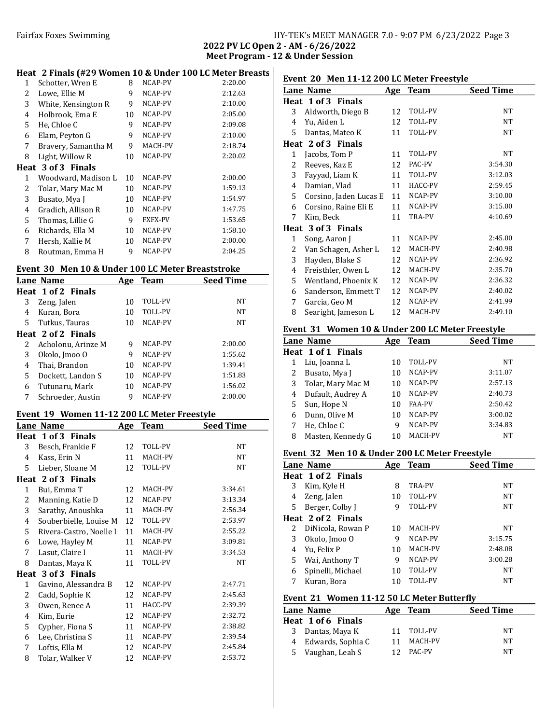# Fairfax Foxes Swimming Table 1986 and HY-TEK's MEET MANAGER 7.0 - 9:07 PM 6/23/2022 Page 3

2022 PV LC Open 2 - AM - 6/26/2022 Meet Program - 12 & Under Session

### Heat 2 Finals (#29 Women 10 & Under 100 LC Meter Breasts

| 1 | Schotter, Wren E    | 8  | NCAP-PV        | 2:20.00 |
|---|---------------------|----|----------------|---------|
| 2 | Lowe, Ellie M       | 9  | NCAP-PV        | 2:12.63 |
| 3 | White, Kensington R | 9  | NCAP-PV        | 2:10.00 |
| 4 | Holbrook, Ema E     | 10 | NCAP-PV        | 2:05.00 |
| 5 | He, Chloe C         | 9  | NCAP-PV        | 2:09.08 |
| 6 | Elam, Peyton G      | 9  | NCAP-PV        | 2:10.00 |
| 7 | Bravery, Samantha M | 9  | MACH-PV        | 2:18.74 |
| 8 | Light, Willow R     | 10 | NCAP-PV        | 2:20.02 |
|   | Heat 3 of 3 Finals  |    |                |         |
| 1 | Woodward, Madison L | 10 | NCAP-PV        | 2:00.00 |
| 2 | Tolar, Mary Mac M   | 10 | NCAP-PV        | 1:59.13 |
| 3 | Busato, Mya J       | 10 | NCAP-PV        | 1:54.97 |
| 4 | Gradich, Allison R  | 10 | NCAP-PV        | 1:47.75 |
| 5 | Thomas, Lillie G    | 9  | <b>FXFX-PV</b> | 1:53.65 |
| 6 | Richards, Ella M    | 10 | NCAP-PV        | 1:58.10 |
| 7 | Hersh, Kallie M     | 10 | NCAP-PV        | 2:00.00 |
| 8 | Routman, Emma H     | 9  | NCAP-PV        | 2:04.25 |
|   |                     |    |                |         |

#### Event 30 Men 10 & Under 100 LC Meter Breaststroke

| LVEIN JU MEN IV & UNUEL IVU LUMENT DI CASISNUME |     |             |                  |  |
|-------------------------------------------------|-----|-------------|------------------|--|
| Lane Name                                       | Age | <b>Team</b> | <b>Seed Time</b> |  |
| Heat 1 of 2 Finals                              |     |             |                  |  |
| Zeng, Jalen                                     | 10  | TOLL-PV     | NT               |  |
| Kuran, Bora                                     | 10  | TOLL-PV     | <b>NT</b>        |  |
| Tutkus, Tauras                                  | 10  | NCAP-PV     | NT               |  |
| Heat 2 of 2 Finals                              |     |             |                  |  |
| Acholonu, Arinze M                              | 9   | NCAP-PV     | 2:00.00          |  |
| Okolo, Jmoo O                                   | 9   | NCAP-PV     | 1:55.62          |  |
| Thai, Brandon                                   | 10  | NCAP-PV     | 1:39.41          |  |
| Dockett, Landon S                               | 10  | NCAP-PV     | 1:51.83          |  |
| Tutunaru. Mark                                  | 10  | NCAP-PV     | 1:56.02          |  |
| Schroeder, Austin                               | 9   | NCAP-PV     | 2:00.00          |  |
|                                                 |     |             |                  |  |

### Event 19 Women 11-12 200 LC Meter Freestyle

|              | Lieut 17 - Women 11-12 200 Be Meter Treestyle<br>Lane Name | <u>Age</u> | <b>Team</b> | <b>Seed Time</b> |
|--------------|------------------------------------------------------------|------------|-------------|------------------|
|              | Heat 1 of 3 Finals                                         |            |             |                  |
| 3            | Besch, Frankie F                                           | 12         | TOLL-PV     | NT               |
| 4            | Kass, Erin N                                               | 11         | MACH-PV     | NT               |
| 5            | Lieber, Sloane M                                           | 12         | TOLL-PV     | NT               |
|              | Heat 2 of 3 Finals                                         |            |             |                  |
| 1            | Bui, Emma T                                                | 12         | MACH-PV     | 3:34.61          |
| 2            | Manning, Katie D                                           | 12         | NCAP-PV     | 3:13.34          |
| 3            | Sarathy, Anoushka                                          | 11         | MACH-PV     | 2:56.34          |
| 4            | Souberbielle, Louise M                                     | 12         | TOLL-PV     | 2:53.97          |
| 5            | Rivera-Castro, Noelle I                                    | 11         | MACH-PV     | 2:55.22          |
| 6            | Lowe, Hayley M                                             | 11         | NCAP-PV     | 3:09.81          |
| 7            | Lasut, Claire I                                            | 11         | MACH-PV     | 3:34.53          |
| 8            | Dantas, Maya K                                             | 11         | TOLL-PV     | NT               |
|              | Heat 3 of 3 Finals                                         |            |             |                  |
| $\mathbf{1}$ | Gavino, Alessandra B                                       | 12         | NCAP-PV     | 2:47.71          |
| 2            | Cadd, Sophie K                                             | 12         | NCAP-PV     | 2:45.63          |
| 3            | Owen, Renee A                                              | 11         | HACC-PV     | 2:39.39          |
| 4            | Kim, Eurie                                                 | 12         | NCAP-PV     | 2:32.72          |
| 5            | Cypher, Fiona S                                            | 11         | NCAP-PV     | 2:38.82          |
| 6            | Lee, Christina S                                           | 11         | NCAP-PV     | 2:39.54          |
| 7            | Loftis, Ella M                                             | 12         | NCAP-PV     | 2:45.84          |
| 8            | Tolar, Walker V                                            | 12         | NCAP-PV     | 2:53.72          |

# Event 20 Men 11-12 200 LC Meter Freestyle

|   | Lane Name              | <u>Age</u> | <b>Team</b> | <b>Seed Time</b> |
|---|------------------------|------------|-------------|------------------|
|   | Heat 1 of 3 Finals     |            |             |                  |
| 3 | Aldworth, Diego B      | 12         | TOLL-PV     | NT.              |
| 4 | Yu, Aiden L            | 12         | TOLL-PV     | NT               |
| 5 | Dantas, Mateo K        | 11         | TOLL-PV     | NT.              |
|   | Heat 2 of 3 Finals     |            |             |                  |
| 1 | Jacobs, Tom P          | 11         | TOLL-PV     | NT               |
| 2 | Reeves, Kaz E          | 12         | PAC-PV      | 3:54.30          |
| 3 | Fayyad, Liam K         | 11         | TOLL-PV     | 3:12.03          |
| 4 | Damian, Vlad           | 11         | HACC-PV     | 2:59.45          |
| 5 | Corsino, Jaden Lucas E | 11         | NCAP-PV     | 3:10.00          |
| 6 | Corsino, Raine Eli E   | 11         | NCAP-PV     | 3:15.00          |
| 7 | Kim, Beck              | 11         | TRA-PV      | 4:10.69          |
|   | Heat 3 of 3 Finals     |            |             |                  |
| 1 | Song, Aaron J          | 11         | NCAP-PV     | 2:45.00          |
| 2 | Van Schagen, Asher L   | 12         | MACH-PV     | 2:40.98          |
| 3 | Hayden, Blake S        | 12         | NCAP-PV     | 2:36.92          |
| 4 | Freisthler, Owen L     | 12         | MACH-PV     | 2:35.70          |
| 5 | Wentland, Phoenix K    | 12         | NCAP-PV     | 2:36.32          |
| 6 | Sanderson, Emmett T    | 12         | NCAP-PV     | 2:40.02          |
| 7 | Garcia, Geo M          | 12         | NCAP-PV     | 2:41.99          |
| 8 | Searight, Jameson L    | 12         | MACH-PV     | 2:49.10          |

### Event 31 Women 10 & Under 200 LC Meter Freestyle

|   | Lane Name          | Age | Team           | <b>Seed Time</b> |
|---|--------------------|-----|----------------|------------------|
|   | Heat 1 of 1 Finals |     |                |                  |
| 1 | Liu, Joanna L      | 10  | TOLL-PV        | NT               |
| 2 | Busato, Mya J      | 10  | NCAP-PV        | 3:11.07          |
| 3 | Tolar, Mary Mac M  | 10  | NCAP-PV        | 2:57.13          |
| 4 | Dufault, Audrey A  | 10  | NCAP-PV        | 2:40.73          |
| 5 | Sun, Hope N        | 10  | <b>FAA-PV</b>  | 2:50.42          |
| 6 | Dunn, Olive M      | 10  | NCAP-PV        | 3:00.02          |
|   | He, Chloe C        | q   | NCAP-PV        | 3:34.83          |
| 8 | Masten, Kennedy G  | 10  | <b>MACH-PV</b> | NT               |

## Event 32 Men 10 & Under 200 LC Meter Freestyle

|   | Lane Name          | Age | <b>Team</b>    | <b>Seed Time</b> |
|---|--------------------|-----|----------------|------------------|
|   | Heat 1 of 2 Finals |     |                |                  |
| 3 | Kim, Kyle H        | 8   | TRA-PV         | NT               |
| 4 | Zeng, Jalen        | 10  | TOLL-PV        | <b>NT</b>        |
| 5 | Berger, Colby J    | 9   | <b>TOLL-PV</b> | NT               |
|   | Heat 2 of 2 Finals |     |                |                  |
| 2 | DiNicola, Rowan P  | 10  | MACH-PV        | NT               |
| 3 | Okolo, Jmoo O      | 9   | NCAP-PV        | 3:15.75          |
| 4 | Yu, Felix P        | 10  | MACH-PV        | 2:48.08          |
| 5 | Wai, Anthony T     | 9   | NCAP-PV        | 3:00.28          |
| 6 | Spinelli, Michael  | 10  | <b>TOLL-PV</b> | <b>NT</b>        |
| 7 | Kuran, Bora        | 10  | TOLL-PV        | <b>NT</b>        |

### Event 21 Women 11-12 50 LC Meter Butterfly

| Lane Name           | Age Team | <b>Seed Time</b> |
|---------------------|----------|------------------|
| Heat 1 of 6 Finals  |          |                  |
| 3 Dantas, Maya K    | TOLL-PV  | NT               |
| 4 Edwards, Sophia C | MACH-PV  | NT               |
| 5 Vaughan, Leah S   | PAC-PV   | NT               |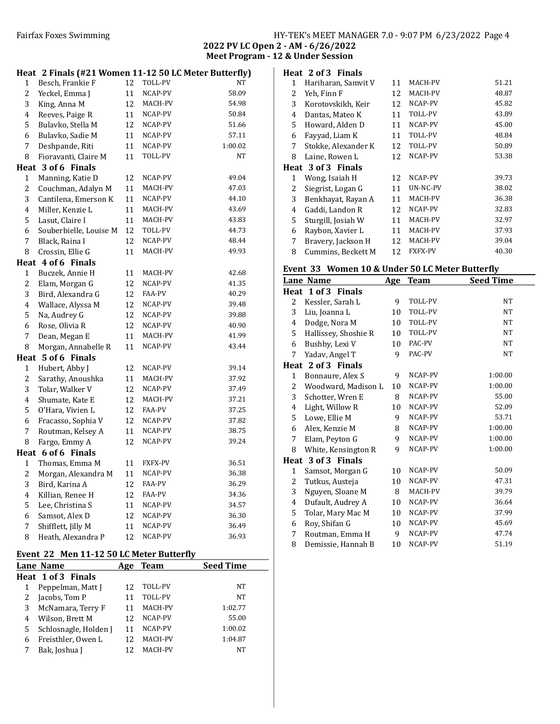| HY-TEK's MEET MANAGER 7.0 - 9:07 PM 6/23/2022 Page 4 |  |  |  |
|------------------------------------------------------|--|--|--|
|------------------------------------------------------|--|--|--|

2022 PV LC Open 2 - AM - 6/26/2022 Meet Program - 12 & Under Session

|                         | Heat 2 Finals (#21 Women 11-12 50 LC Meter Butterfly) |    |                |         |
|-------------------------|-------------------------------------------------------|----|----------------|---------|
| 1                       | Besch, Frankie F                                      | 12 | TOLL-PV        | NT      |
| $\overline{c}$          | Yeckel, Emma J                                        | 11 | NCAP-PV        | 58.09   |
| 3                       | King, Anna M                                          | 12 | MACH-PV        | 54.98   |
| 4                       | Reeves, Paige R                                       | 11 | NCAP-PV        | 50.84   |
| 5                       | Bulavko, Stella M                                     | 12 | NCAP-PV        | 51.66   |
| 6                       | Bulavko, Sadie M                                      | 11 | NCAP-PV        | 57.11   |
| 7                       | Deshpande, Riti                                       | 11 | NCAP-PV        | 1:00.02 |
| 8                       | Fioravanti, Claire M                                  | 11 | TOLL-PV        | NT      |
|                         | Heat 3 of 6 Finals                                    |    |                |         |
| 1                       | Manning, Katie D                                      | 12 | NCAP-PV        | 49.04   |
| $\overline{c}$          | Couchman, Adalyn M                                    | 11 | MACH-PV        | 47.03   |
| 3                       | Cantilena, Emerson K                                  | 11 | NCAP-PV        | 44.10   |
| 4                       | Miller, Kenzie L                                      | 11 | MACH-PV        | 43.69   |
| 5                       | Lasut, Claire I                                       | 11 | MACH-PV        | 43.83   |
| 6                       | Souberbielle, Louise M                                | 12 | TOLL-PV        | 44.73   |
| 7                       | Black, Raina I                                        | 12 | NCAP-PV        | 48.44   |
| 8                       | Crossin, Ellie G                                      | 11 | MACH-PV        | 49.93   |
|                         | Heat 4 of 6 Finals                                    |    |                |         |
| $\mathbf{1}$            | Buczek, Annie H                                       | 11 | MACH-PV        | 42.68   |
| $\overline{c}$          | Elam, Morgan G                                        | 12 | NCAP-PV        | 41.35   |
| 3                       | Bird, Alexandra G                                     | 12 | FAA-PV         | 40.29   |
| 4                       | Wallace, Alyssa M                                     | 12 | NCAP-PV        | 39.48   |
| 5                       | Na, Audrey G                                          | 12 | NCAP-PV        | 39.88   |
| 6                       | Rose, Olivia R                                        | 12 | NCAP-PV        | 40.90   |
| 7                       | Dean, Megan E                                         | 11 | MACH-PV        | 41.99   |
| 8                       | Morgan, Annabelle R                                   | 11 | NCAP-PV        | 43.44   |
|                         | Heat 5 of 6 Finals                                    |    |                |         |
| $\mathbf{1}$            | Hubert, Abby J                                        | 12 | NCAP-PV        | 39.14   |
| 2                       | Sarathy, Anoushka                                     | 11 | MACH-PV        | 37.92   |
| 3                       | Tolar, Walker V                                       | 12 | NCAP-PV        | 37.49   |
| 4                       | Shumate, Kate E                                       | 12 | MACH-PV        | 37.21   |
| 5                       | O'Hara, Vivien L                                      | 12 | FAA-PV         | 37.25   |
| 6                       | Fracasso, Sophia V                                    | 12 | NCAP-PV        | 37.82   |
| 7                       | Routman, Kelsey A                                     | 11 | NCAP-PV        | 38.75   |
| 8                       | Fargo, Emmy A                                         | 12 | NCAP-PV        | 39.24   |
|                         | Heat 6 of 6 Finals                                    |    |                |         |
| 1                       | Thomas, Emma M                                        | 11 | <b>FXFX-PV</b> | 36.51   |
| 2                       | Morgan, Alexandra M                                   | 11 | NCAP-PV        | 36.38   |
| 3                       | Bird, Karina A                                        | 12 | FAA-PV         | 36.29   |
| $\overline{\mathbf{4}}$ | Killian, Renee H                                      | 12 | FAA-PV         | 34.36   |
| 5                       | Lee, Christina S                                      | 11 | NCAP-PV        | 34.57   |
| 6                       | Samsot, Alex D                                        | 12 | NCAP-PV        | 36.30   |
| 7                       | Shifflett, Jilly M                                    | 11 | NCAP-PV        | 36.49   |
| 8                       | Heath, Alexandra P                                    | 12 | NCAP-PV        | 36.93   |

# Event 22 Men 11-12 50 LC Meter Butterfly

|   | LVEIIL 22 MEIL 11-12 JU LUMELEI DULLEI IIV |     |                |                  |
|---|--------------------------------------------|-----|----------------|------------------|
|   | Lane Name                                  | Age | Team           | <b>Seed Time</b> |
|   | Heat 1 of 3 Finals                         |     |                |                  |
|   | Peppelman, Matt J                          |     | TOLL-PV        | NT               |
|   | Jacobs, Tom P                              |     | <b>TOLL-PV</b> | NT               |
| 3 | McNamara, Terry F                          | 11  | MACH-PV        | 1:02.77          |
| 4 | Wilson, Brett M                            | 12. | NCAP-PV        | 55.00            |
| 5 | Schlosnagle, Holden J                      | 11  | NCAP-PV        | 1:00.02          |
| 6 | Freisthler, Owen L                         |     | MACH-PV        | 1:04.87          |
|   | Bak, Joshua J                              |     | MACH-PV        | NT               |
|   |                                            |     |                |                  |

|              | Heat 2 of 3 Finals  |    |                 |       |
|--------------|---------------------|----|-----------------|-------|
| $\mathbf{1}$ | Hariharan, Samvit V | 11 | MACH-PV         | 51.21 |
| 2            | Yeh, Finn F         | 12 | MACH-PV         | 48.87 |
| 3            | Korotovskikh, Keir  | 12 | NCAP-PV         | 45.82 |
| 4            | Dantas, Mateo K     | 11 | TOLL-PV         | 43.89 |
| 5            | Howard, Alden D     | 11 | NCAP-PV         | 45.00 |
| 6            | Fayyad, Liam K      | 11 | TOLL-PV         | 48.84 |
| 7            | Stokke, Alexander K | 12 | TOLL-PV         | 50.89 |
| 8            | Laine, Rowen L      | 12 | NCAP-PV         | 53.38 |
|              | Heat 3 of 3 Finals  |    |                 |       |
| 1            | Wong, Isaiah H      | 12 | NCAP-PV         | 39.73 |
| 2            | Siegrist, Logan G   | 11 | <b>UN-NC-PV</b> | 38.02 |
| 3            | Benkhayat, Rayan A  | 11 | MACH-PV         | 36.38 |
| 4            | Gaddi, Landon R     | 12 | NCAP-PV         | 32.83 |
| 5            | Sturgill, Josiah W  | 11 | MACH-PV         | 32.97 |
| 6            | Raybon, Xavier L    | 11 | MACH-PV         | 37.93 |
| 7            | Bravery, Jackson H  | 12 | MACH-PV         | 39.04 |
| 8            | Cummins, Beckett M  | 12 | <b>FXFX-PV</b>  | 40.30 |

### Event 33 Women 10 & Under 50 LC Meter Butterfly

| Age<br>Team<br>TOLL-PV<br>TOLL-PV<br>10<br>TOLL-PV<br>10<br>TOLL-PV<br>10<br>PAC-PV<br>10<br>PAC-PV<br>NCAP-PV<br>NCAP-PV | <b>Seed Time</b><br>NT<br><b>NT</b><br>NT<br>NT<br>NT<br>NT<br>1:00.00<br>1:00.00 |
|---------------------------------------------------------------------------------------------------------------------------|-----------------------------------------------------------------------------------|
|                                                                                                                           |                                                                                   |
|                                                                                                                           |                                                                                   |
|                                                                                                                           |                                                                                   |
|                                                                                                                           |                                                                                   |
|                                                                                                                           |                                                                                   |
|                                                                                                                           |                                                                                   |
|                                                                                                                           |                                                                                   |
|                                                                                                                           |                                                                                   |
|                                                                                                                           |                                                                                   |
|                                                                                                                           |                                                                                   |
|                                                                                                                           |                                                                                   |
| NCAP-PV                                                                                                                   | 55.00                                                                             |
| NCAP-PV                                                                                                                   | 52.09                                                                             |
| NCAP-PV                                                                                                                   | 53.71                                                                             |
| NCAP-PV                                                                                                                   | 1:00.00                                                                           |
| NCAP-PV                                                                                                                   | 1:00.00                                                                           |
| NCAP-PV                                                                                                                   | 1:00.00                                                                           |
|                                                                                                                           |                                                                                   |
| NCAP-PV                                                                                                                   | 50.09                                                                             |
| NCAP-PV                                                                                                                   | 47.31                                                                             |
| MACH-PV                                                                                                                   | 39.79                                                                             |
| NCAP-PV                                                                                                                   | 36.64                                                                             |
| NCAP-PV                                                                                                                   | 37.99                                                                             |
| NCAP-PV                                                                                                                   | 45.69                                                                             |
| NCAP-PV                                                                                                                   | 47.74                                                                             |
| NCAP-PV                                                                                                                   | 51.19                                                                             |
| 9<br>9                                                                                                                    | 10<br>10<br>10<br>10<br>10<br>10<br>10<br>10                                      |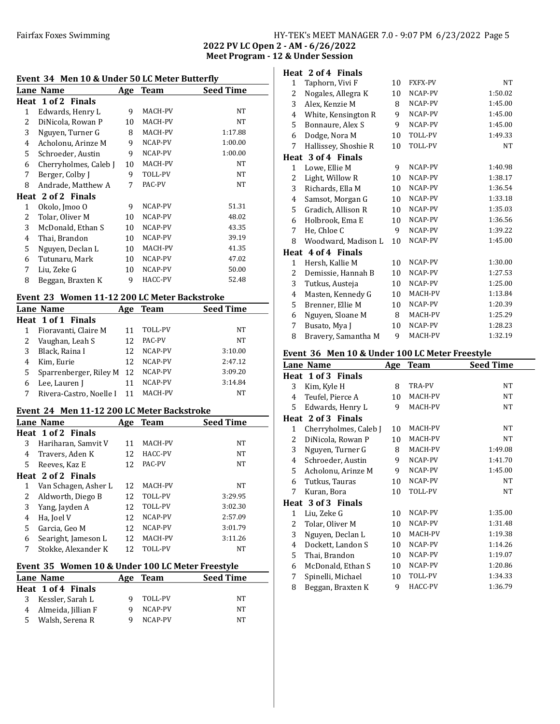## Fairfax Foxes Swimming Table 1986 Swimming HY-TEK's MEET MANAGER 7.0 - 9:07 PM 6/23/2022 Page 5

2022 PV LC Open 2 - AM - 6/26/2022 Meet Program - 12 & Under Session

### Event 34 Men 10 & Under 50 LC Meter Butterfly

| LVCIIC 57 THEIL TO & OHUCL 50 LC MCICL DUILCI IIV |                       |     |         |                  |  |  |
|---------------------------------------------------|-----------------------|-----|---------|------------------|--|--|
|                                                   | Lane Name             | Age | Team    | <b>Seed Time</b> |  |  |
|                                                   | Heat 1 of 2 Finals    |     |         |                  |  |  |
| 1                                                 | Edwards, Henry L      | 9   | MACH-PV | NT               |  |  |
| 2                                                 | DiNicola, Rowan P     | 10  | MACH-PV | NT               |  |  |
| 3                                                 | Nguyen, Turner G      | 8   | MACH-PV | 1:17.88          |  |  |
| 4                                                 | Acholonu, Arinze M    | 9   | NCAP-PV | 1:00.00          |  |  |
| 5.                                                | Schroeder, Austin     | 9   | NCAP-PV | 1:00.00          |  |  |
| 6                                                 | Cherryholmes, Caleb J | 10  | MACH-PV | NT               |  |  |
| 7                                                 | Berger, Colby J       | 9   | TOLL-PV | NT               |  |  |
| 8                                                 | Andrade, Matthew A    | 7   | PAC-PV  | NT               |  |  |
|                                                   | Heat 2 of 2 Finals    |     |         |                  |  |  |
| 1                                                 | Okolo, Jmoo O         | 9   | NCAP-PV | 51.31            |  |  |
| 2                                                 | Tolar, Oliver M       | 10  | NCAP-PV | 48.02            |  |  |
| 3                                                 | McDonald, Ethan S     | 10  | NCAP-PV | 43.35            |  |  |
| 4                                                 | Thai, Brandon         | 10  | NCAP-PV | 39.19            |  |  |
| 5                                                 | Nguyen, Declan L      | 10  | MACH-PV | 41.35            |  |  |
| 6                                                 | Tutunaru, Mark        | 10  | NCAP-PV | 47.02            |  |  |
| 7                                                 | Liu, Zeke G           | 10  | NCAP-PV | 50.00            |  |  |
| 8                                                 | Beggan, Braxten K     | 9   | HACC-PV | 52.48            |  |  |
|                                                   |                       |     |         |                  |  |  |

## Event 23 Women 11-12 200 LC Meter Backstroke

|   | Lane Name               | Age | <b>Team</b> | <b>Seed Time</b> |  |  |
|---|-------------------------|-----|-------------|------------------|--|--|
|   | Heat 1 of 1 Finals      |     |             |                  |  |  |
|   | Fioravanti, Claire M    | 11  | TOLL-PV     | NT               |  |  |
|   | Vaughan, Leah S         | 12  | PAC-PV      | NT               |  |  |
| 3 | Black, Raina I          | 12  | NCAP-PV     | 3:10.00          |  |  |
| 4 | Kim, Eurie              | 12  | NCAP-PV     | 2:47.12          |  |  |
| 5 | Sparrenberger, Riley M  | 12  | NCAP-PV     | 3:09.20          |  |  |
| b | Lee, Lauren J           |     | NCAP-PV     | 3:14.84          |  |  |
|   | Rivera-Castro, Noelle I | 11  | MACH-PV     | NT               |  |  |
|   |                         |     |             |                  |  |  |

### Event 24 Men 11-12 200 LC Meter Backstroke

|   | Lane Name            | Age | <b>Team</b>    | <b>Seed Time</b> |
|---|----------------------|-----|----------------|------------------|
|   | Heat 1 of 2 Finals   |     |                |                  |
| 3 | Hariharan, Samvit V  | 11  | MACH-PV        | NT               |
| 4 | Travers, Aden K      | 12  | HACC-PV        | <b>NT</b>        |
| 5 | Reeves, Kaz E        | 12  | PAC-PV         | NT               |
|   | Heat 2 of 2 Finals   |     |                |                  |
| 1 | Van Schagen, Asher L | 12. | MACH-PV        | NT               |
| 2 | Aldworth, Diego B    | 12  | <b>TOLL-PV</b> | 3:29.95          |
| 3 | Yang, Jayden A       | 12  | TOLL-PV        | 3:02.30          |
| 4 | Ha, Joel V           | 12  | NCAP-PV        | 2:57.09          |
| 5 | Garcia, Geo M        | 12  | NCAP-PV        | 3:01.79          |
| 6 | Searight, Jameson L  | 12  | MACH-PV        | 3:11.26          |
| 7 | Stokke, Alexander K  | 12  | <b>TOLL-PV</b> | <b>NT</b>        |

### Event 35 Women 10 & Under 100 LC Meter Freestyle

| Lane Name            |   | Age Team | <b>Seed Time</b> |
|----------------------|---|----------|------------------|
| Heat 1 of 4 Finals   |   |          |                  |
| 3 Kessler, Sarah L   |   | TOLL-PV  | NT               |
| 4 Almeida, Jillian F |   | NCAP-PV  | NΤ               |
| 5 Walsh, Serena R    | q | NCAP-PV  | NT               |

|              | Heat 2 of 4 Finals   |    |                |           |
|--------------|----------------------|----|----------------|-----------|
| 1            | Taphorn, Vivi F      | 10 | <b>FXFX-PV</b> | <b>NT</b> |
| 2            | Nogales, Allegra K   | 10 | NCAP-PV        | 1:50.02   |
| 3            | Alex, Kenzie M       | 8  | NCAP-PV        | 1:45.00   |
| 4            | White, Kensington R  | 9  | NCAP-PV        | 1:45.00   |
| 5            | Bonnaure, Alex S     | 9  | NCAP-PV        | 1:45.00   |
| 6            | Dodge, Nora M        | 10 | <b>TOLL-PV</b> | 1:49.33   |
| 7            | Hallissey, Shoshie R | 10 | TOLL-PV        | <b>NT</b> |
|              | Heat 3 of 4 Finals   |    |                |           |
| $\mathbf{1}$ | Lowe, Ellie M        | 9  | NCAP-PV        | 1:40.98   |
| 2            | Light, Willow R      | 10 | NCAP-PV        | 1:38.17   |
| 3            | Richards, Ella M     | 10 | NCAP-PV        | 1:36.54   |
| 4            | Samsot, Morgan G     | 10 | NCAP-PV        | 1:33.18   |
| 5            | Gradich, Allison R   | 10 | NCAP-PV        | 1:35.03   |
| 6            | Holbrook, Ema E      | 10 | NCAP-PV        | 1:36.56   |
| 7            | He, Chloe C          | 9  | NCAP-PV        | 1:39.22   |
| 8            | Woodward, Madison L  | 10 | NCAP-PV        | 1:45.00   |
| Heat         | 4 of 4 Finals        |    |                |           |
| $\mathbf{1}$ | Hersh, Kallie M      | 10 | NCAP-PV        | 1:30.00   |
| 2            | Demissie, Hannah B   | 10 | NCAP-PV        | 1:27.53   |
| 3            | Tutkus, Austeja      | 10 | NCAP-PV        | 1:25.00   |
| 4            | Masten, Kennedy G    | 10 | MACH-PV        | 1:13.84   |
| 5            | Brenner, Ellie M     | 10 | NCAP-PV        | 1:20.39   |
| 6            | Nguyen, Sloane M     | 8  | MACH-PV        | 1:25.29   |
| 7            | Busato, Mya J        | 10 | NCAP-PV        | 1:28.23   |
| 8            | Bravery, Samantha M  | 9  | MACH-PV        | 1:32.19   |

#### Event 36 Men 10 & Under 100 LC Meter Freestyle

|              | Lane Name             | <b>Age</b> | <b>Team</b> | <b>Seed Time</b> |
|--------------|-----------------------|------------|-------------|------------------|
|              | Heat 1 of 3 Finals    |            |             |                  |
| 3            | Kim, Kyle H           | 8          | TRA-PV      | NT               |
| 4            | Teufel, Pierce A      | 10         | MACH-PV     | NT               |
| 5            | Edwards, Henry L      | 9          | MACH-PV     | NT               |
|              | Heat 2 of 3 Finals    |            |             |                  |
| 1            | Cherryholmes, Caleb J | 10         | MACH-PV     | NT               |
| 2            | DiNicola, Rowan P     | 10         | MACH-PV     | NT               |
| 3            | Nguyen, Turner G      | 8          | MACH-PV     | 1:49.08          |
| 4            | Schroeder, Austin     | 9          | NCAP-PV     | 1:41.70          |
| 5            | Acholonu, Arinze M    | 9          | NCAP-PV     | 1:45.00          |
| 6            | Tutkus, Tauras        | 10         | NCAP-PV     | NT               |
| 7            | Kuran, Bora           | 10         | TOLL-PV     | NT               |
|              | Heat 3 of 3 Finals    |            |             |                  |
| $\mathbf{1}$ | Liu, Zeke G           | 10         | NCAP-PV     | 1:35.00          |
| 2            | Tolar, Oliver M       | 10         | NCAP-PV     | 1:31.48          |
| 3            | Nguyen, Declan L      | 10         | MACH-PV     | 1:19.38          |
| 4            | Dockett, Landon S     | 10         | NCAP-PV     | 1:14.26          |
| 5            | Thai, Brandon         | 10         | NCAP-PV     | 1:19.07          |
| 6            | McDonald, Ethan S     | 10         | NCAP-PV     | 1:20.86          |
| 7            | Spinelli, Michael     | 10         | TOLL-PV     | 1:34.33          |
| 8            | Beggan, Braxten K     | 9          | HACC-PV     | 1:36.79          |